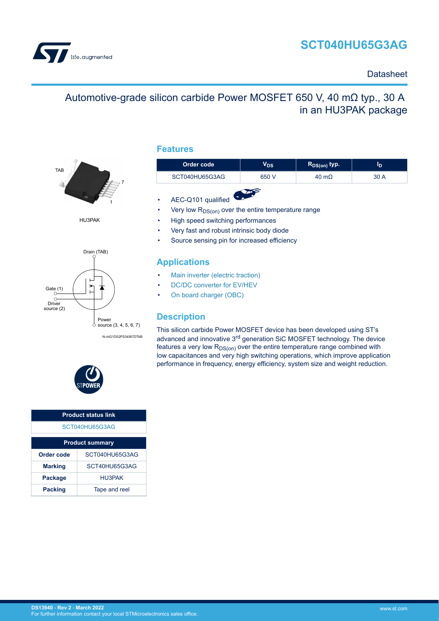# **SCT040HU65G3AG**

<span id="page-0-0"></span>

## **Datasheet**

# Automotive-grade silicon carbide Power MOSFET 650 V, 40 mΩ typ., 30 A in an HU3PAK package



HU3PAK



N-chG1DS2PS34567DTAB



| <b>Product status link</b>      |               |  |  |
|---------------------------------|---------------|--|--|
| SCT040HU65G3AG                  |               |  |  |
| <b>Product summary</b>          |               |  |  |
| SCT040HU65G3AG<br>Order code    |               |  |  |
| <b>Marking</b>                  | SCT40HU65G3AG |  |  |
| HU3PAK<br>Package               |               |  |  |
| Tape and reel<br><b>Packing</b> |               |  |  |

### **Features**

| Order code     | $\mathsf{V}_{\mathsf{DS}}$ | $R_{DS(on)}$ typ.    | סי   |
|----------------|----------------------------|----------------------|------|
| SCT040HU65G3AG | 650 V                      | $40 \text{ m}\Omega$ | 30 A |
|                |                            |                      |      |

- AEC-Q101 qualified
- Very low  $R_{DS(on)}$  over the entire temperature range
- High speed switching performances
- Very fast and robust intrinsic body diode
- Source sensing pin for increased efficiency

### **Applications**

- [Main inverter \(electric traction\)](https://www.st.com/en/applications/electro-mobility/main-inverter-electric-traction.html?ecmp=tt9471_gl_link_feb2019&rt=ds&id=DS13940)
- [DC/DC converter for EV/HEV](https://www.st.com/en/applications/electro-mobility/dc-dc-converter-for-ev-hev.html?ecmp=tt9471_gl_link_feb2019&rt=ds&id=DS13940)
- [On board charger \(OBC\)](https://www.st.com/en/applications/electro-mobility/on-board-charger-obc.html?ecmp=tt9471_gl_link_feb2019&rt=ds&id=DS13940)

## **Description**

This silicon carbide Power MOSFET device has been developed using ST's advanced and innovative 3rd generation SiC MOSFET technology. The device features a very low  $R_{DS(on)}$  over the entire temperature range combined with low capacitances and very high switching operations, which improve application performance in frequency, energy efficiency, system size and weight reduction.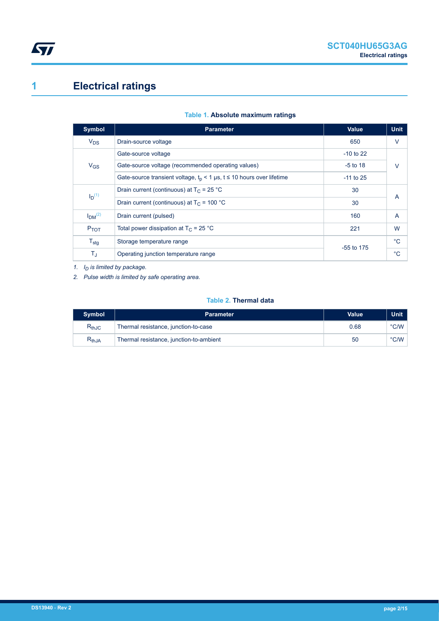# <span id="page-1-0"></span>**1 Electrical ratings**

| Symbol                         | <b>Parameter</b>                                                        | <b>Value</b> | <b>Unit</b>    |  |
|--------------------------------|-------------------------------------------------------------------------|--------------|----------------|--|
| $V_{DS}$                       | Drain-source voltage                                                    | 650          | $\vee$         |  |
|                                | Gate-source voltage                                                     | $-10$ to 22  |                |  |
| $V_{GS}$                       | Gate-source voltage (recommended operating values)                      | $-5$ to 18   | $\vee$         |  |
|                                | Gate-source transient voltage, $t_p$ < 1 µs, t ≤ 10 hours over lifetime | $-11$ to 25  |                |  |
| $I_D(1)$                       | Drain current (continuous) at $T_c = 25 °C$                             | 30           | $\overline{A}$ |  |
|                                | Drain current (continuous) at $T_C = 100 °C$                            | 30           |                |  |
| I <sub>DM</sub> <sup>(2)</sup> | Drain current (pulsed)                                                  | 160          | $\overline{A}$ |  |
| $P_{TOT}$                      | Total power dissipation at $T_C = 25 °C$                                | 221          | W              |  |
| $T_{\text{stg}}$               | Storage temperature range                                               |              |                |  |
| $T_{\rm J}$                    | Operating junction temperature range                                    | $-55$ to 175 | $^{\circ}C$    |  |

### **Table 1. Absolute maximum ratings**

*1. ID is limited by package.*

*2. Pulse width is limited by safe operating area.*

### **Table 2. Thermal data**

| <b>Symbol</b>                | <b>Parameter</b>                        | Value | Unit          |
|------------------------------|-----------------------------------------|-------|---------------|
| $\mathsf{R}_{\mathsf{thJC}}$ | Thermal resistance, junction-to-case    | 0.68  | °C/W          |
| $\mathsf{R}_{\mathsf{thJA}}$ | Thermal resistance, junction-to-ambient | 50    | $\degree$ C/W |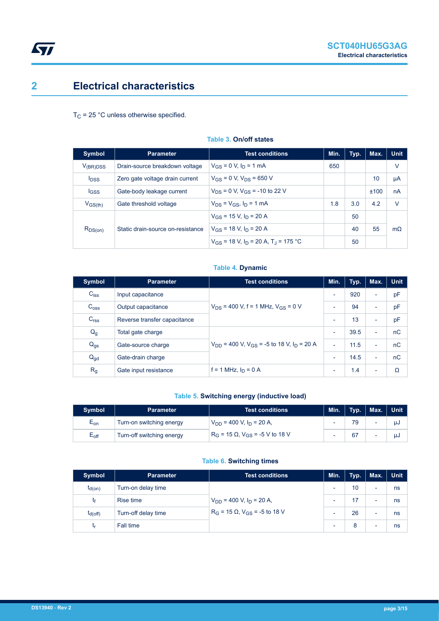## <span id="page-2-0"></span>**2 Electrical characteristics**

 $T_C$  = 25 °C unless otherwise specified.

| Symbol                  | <b>Parameter</b>                  | <b>Test conditions</b>                                 | Min. | Typ. | Max. | <b>Unit</b> |
|-------------------------|-----------------------------------|--------------------------------------------------------|------|------|------|-------------|
| $V_{(BR)DSS}$           | Drain-source breakdown voltage    | $V_{GS} = 0$ V, $I_D = 1$ mA                           | 650  |      |      | V           |
| <b>I</b> <sub>DSS</sub> | Zero gate voltage drain current   | $V_{GS} = 0$ V, $V_{DS} = 650$ V                       |      |      | 10   | μA          |
| <b>IGSS</b>             | Gate-body leakage current         | $V_{DS}$ = 0 V, $V_{GS}$ = -10 to 22 V                 |      |      | ±100 | nA          |
| $V_{GS(th)}$            | Gate threshold voltage            | $V_{DS} = V_{GS}$ , $I_D = 1$ mA                       | 1.8  | 3.0  | 4.2  | $\vee$      |
|                         |                                   | $V_{GS}$ = 15 V, $I_D$ = 20 A                          |      | 50   |      |             |
| $R_{DS(on)}$            | Static drain-source on-resistance | $V_{GS}$ = 18 V, $I_D$ = 20 A                          |      | 40   | 55   | $m\Omega$   |
|                         |                                   | $V_{GS}$ = 18 V, $I_D$ = 20 A, T <sub>J</sub> = 175 °C |      | 50   |      |             |

### **Table 3. On/off states**

### **Table 4. Dynamic**

| Symbol           | <b>Parameter</b>             | <b>Test conditions</b>                                                | Min.                     | Typ. | Max.                     | <b>Unit</b> |
|------------------|------------------------------|-----------------------------------------------------------------------|--------------------------|------|--------------------------|-------------|
| $C_{\text{iss}}$ | Input capacitance            |                                                                       | $\overline{\phantom{a}}$ | 920  | $\overline{\phantom{a}}$ | pF          |
| C <sub>oss</sub> | Output capacitance           | $V_{DS}$ = 400 V, f = 1 MHz, $V_{GS}$ = 0 V                           | $\overline{\phantom{0}}$ | 94   | $\overline{\phantom{a}}$ | pF          |
| C <sub>rss</sub> | Reverse transfer capacitance |                                                                       | $\overline{\phantom{a}}$ | 13   | $\overline{\phantom{a}}$ | pF          |
| $Q_g$            | Total gate charge            |                                                                       | $\overline{\phantom{a}}$ | 39.5 | $\overline{\phantom{a}}$ | nC          |
| $Q_{gs}$         | Gate-source charge           | $V_{DD}$ = 400 V, V <sub>GS</sub> = -5 to 18 V, I <sub>D</sub> = 20 A | $\overline{\phantom{a}}$ | 11.5 | $\overline{\phantom{0}}$ | nC          |
| $Q_{gd}$         | Gate-drain charge            |                                                                       |                          | 14.5 | $\overline{\phantom{a}}$ | nC          |
| R <sub>g</sub>   | Gate input resistance        | f = 1 MHz, $I_D$ = 0 A                                                | $\overline{\phantom{a}}$ | 1.4  | $\overline{\phantom{a}}$ | Ω           |

### **Table 5. Switching energy (inductive load)**

| <b>Symbol</b>              | <b>Parameter</b>          | <b>Test conditions</b>                        | Min. | Typ. | Max.   Unit |     |
|----------------------------|---------------------------|-----------------------------------------------|------|------|-------------|-----|
| $\mathsf{E}_{\mathsf{on}}$ | Turn-on switching energy  | $V_{DD}$ = 400 V, $I_D$ = 20 A,               | ۰    |      |             | uJ  |
| $E_{\text{off}}$           | Turn-off switching energy | $R_G$ = 15 $\Omega$ , $V_{GS}$ = -5 V to 18 V | ۰    |      |             | IJJ |

### **Table 6. Switching times**

| <b>Symbol</b> | <b>Parameter</b>    | <b>Test conditions</b>                      | Min.                     | Typ. | Max.                     | <b>Unit</b> |
|---------------|---------------------|---------------------------------------------|--------------------------|------|--------------------------|-------------|
| $t_{d(on)}$   | Turn-on delay time  |                                             | $\overline{\phantom{0}}$ | 10   | $\overline{\phantom{0}}$ | ns          |
| tŧ            | Rise time           | $V_{DD}$ = 400 V, $I_D$ = 20 A,             | ۰                        |      | $\overline{\phantom{a}}$ | ns          |
| $t_{d(Off)}$  | Turn-off delay time | $R_G$ = 15 $\Omega$ , $V_{GS}$ = -5 to 18 V | ۰                        | 26   | -                        | ns          |
| ιr            | Fall time           |                                             | ٠                        | 8    | $\overline{\phantom{0}}$ | ns          |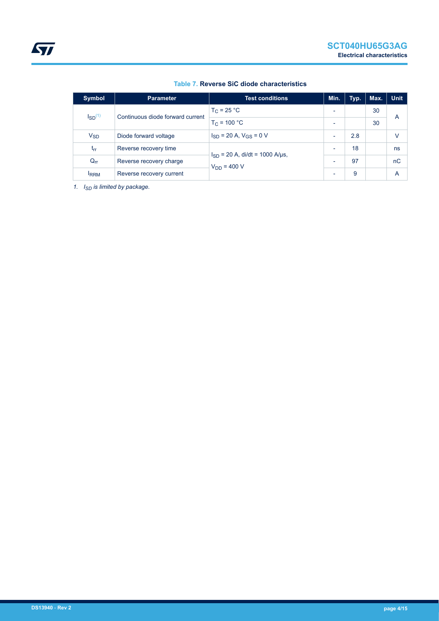| Symbol                                                   | <b>Parameter</b>         | <b>Test conditions</b>              | Min.                     | Typ. | Max. | <b>Unit</b> |
|----------------------------------------------------------|--------------------------|-------------------------------------|--------------------------|------|------|-------------|
| $\mathsf{ISD}^{(1)}$<br>Continuous diode forward current |                          | $T_C = 25 °C$                       | $\overline{\phantom{0}}$ |      | 30   |             |
|                                                          | $T_C = 100 °C$           | $\overline{\phantom{0}}$            |                          | 30   | A    |             |
| $V_{SD}$                                                 | Diode forward voltage    | $I_{SD}$ = 20 A, $V_{GS}$ = 0 V     | $\overline{\phantom{0}}$ | 2.8  |      | V           |
| $I_{rr}$                                                 | Reverse recovery time    | $I_{SD}$ = 20 A, di/dt = 1000 A/µs, | $\overline{\phantom{0}}$ | 18   |      | ns          |
| $Q_{rr}$                                                 | Reverse recovery charge  | $V_{DD} = 400 V$                    | $\overline{\phantom{0}}$ | 97   |      | nC          |
| <b>IRRM</b>                                              | Reverse recovery current |                                     | $\overline{\phantom{0}}$ | 9    |      | A           |

### **Table 7. Reverse SiC diode characteristics**

*1. ISD is limited by package.*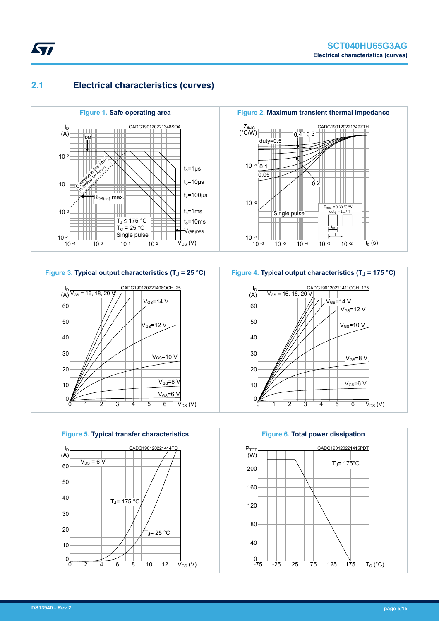## **2.1 Electrical characteristics (curves)**

<span id="page-4-0"></span>**STI** 









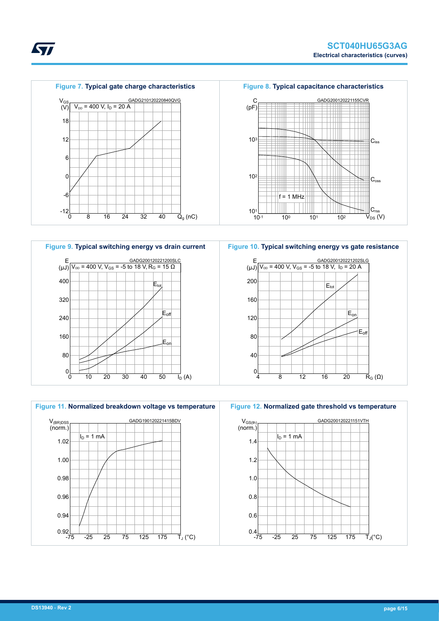



**Figure 10. Typical switching energy vs gate resistance**





*kyi*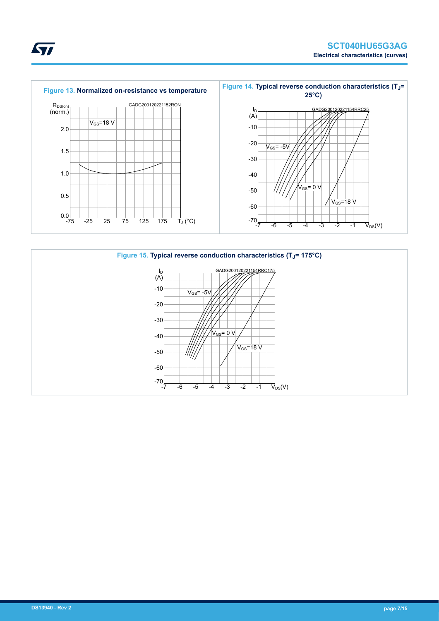



ST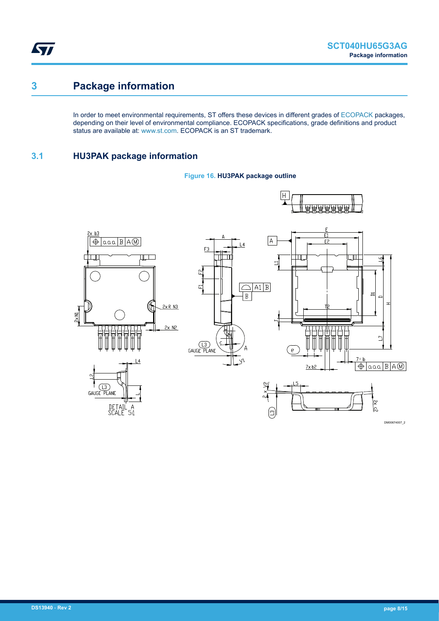<span id="page-7-0"></span>ST

## **3 Package information**

In order to meet environmental requirements, ST offers these devices in different grades of [ECOPACK](https://www.st.com/ecopack) packages, depending on their level of environmental compliance. ECOPACK specifications, grade definitions and product status are available at: [www.st.com.](http://www.st.com) ECOPACK is an ST trademark.

## **3.1 HU3PAK package information**



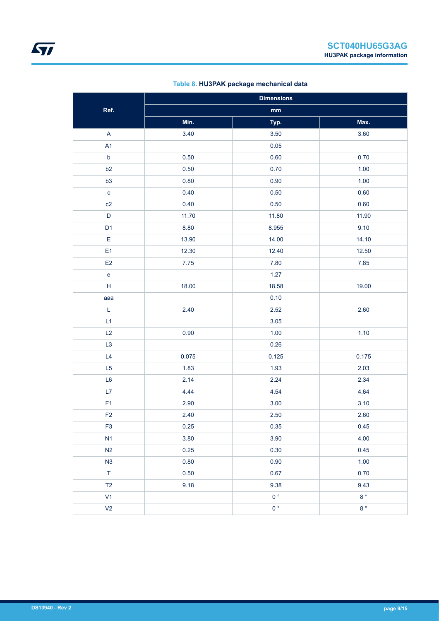| Table 8. HU3PAK package mechanical data |  |
|-----------------------------------------|--|
|-----------------------------------------|--|

|                                   | <b>Dimensions</b> |                |                  |  |  |
|-----------------------------------|-------------------|----------------|------------------|--|--|
| Ref.                              |                   | $\mathbf{mm}$  |                  |  |  |
|                                   | Min.              | Typ.           | Max.             |  |  |
| $\mathsf A$                       | 3.40              | 3.50           | 3.60             |  |  |
| A1                                |                   | 0.05           |                  |  |  |
| $\mathsf b$                       | 0.50              | 0.60           | 0.70             |  |  |
| b2                                | 0.50              | 0.70           | 1.00             |  |  |
| b3                                | 0.80              | 0.90           | 1.00             |  |  |
| $\mathbf{C}$                      | 0.40              | 0.50           | 0.60             |  |  |
| c2                                | 0.40              | 0.50           | 0.60             |  |  |
| $\mathsf D$                       | 11.70             | 11.80          | 11.90            |  |  |
| D <sub>1</sub>                    | 8.80              | 8.955          | 9.10             |  |  |
| E                                 | 13.90             | 14.00          | 14.10            |  |  |
| E <sub>1</sub>                    | 12.30             | 12.40          | 12.50            |  |  |
| E <sub>2</sub>                    | $7.75$            | 7.80           | 7.85             |  |  |
| $\mathsf{e}% _{t}\left( t\right)$ |                   | 1.27           |                  |  |  |
| H                                 | 18.00             | 18.58          | 19.00            |  |  |
| aaa                               |                   | 0.10           |                  |  |  |
| L                                 | 2.40              | 2.52           | 2.60             |  |  |
| L1                                |                   | 3.05           |                  |  |  |
| L2                                | 0.90              | 1.00           | 1.10             |  |  |
| L <sub>3</sub>                    |                   | 0.26           |                  |  |  |
| L4                                | 0.075             | 0.125          | 0.175            |  |  |
| L <sub>5</sub>                    | 1.83              | 1.93           | 2.03             |  |  |
| L <sub>6</sub>                    | 2.14              | 2.24           | 2.34             |  |  |
| L7                                | 4.44              | 4.54           | 4.64             |  |  |
| F <sub>1</sub>                    | 2.90              | 3.00           | 3.10             |  |  |
| F <sub>2</sub>                    | 2.40              | 2.50           | 2.60             |  |  |
| F <sub>3</sub>                    | 0.25              | 0.35           | 0.45             |  |  |
| N1                                | 3.80              | 3.90           | 4.00             |  |  |
| N2                                | 0.25              | 0.30           | 0.45             |  |  |
| N3                                | 0.80              | 0.90           | $1.00$           |  |  |
| $\top$                            | 0.50              | 0.67           | 0.70             |  |  |
| T2                                | 9.18              | 9.38           | 9.43             |  |  |
| V1                                |                   | 0 <sup>°</sup> | $8\,^{\circ}$    |  |  |
| V <sub>2</sub>                    |                   | $0^{\circ}$    | $8\,$ $^{\circ}$ |  |  |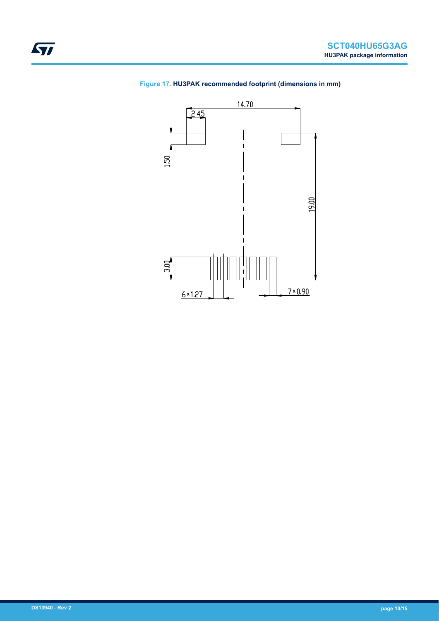

### **Figure 17. HU3PAK recommended footprint (dimensions in mm)**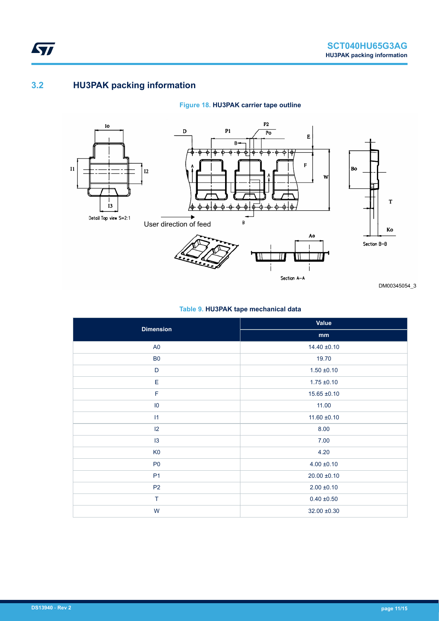## **3.2 HU3PAK packing information**

<span id="page-10-0"></span>**STI** 

### **Figure 18. HU3PAK carrier tape outline**



DM00345054\_3

### **Table 9. HU3PAK tape mechanical data**

| <b>Dimension</b> | Value            |
|------------------|------------------|
|                  | mm               |
| A <sub>0</sub>   | $14.40 \pm 0.10$ |
| B <sub>0</sub>   | 19.70            |
| $\mathsf D$      | $1.50 \pm 0.10$  |
| Ε                | $1.75 \pm 0.10$  |
| $\mathsf F$      | $15.65 \pm 0.10$ |
| $\overline{10}$  | 11.00            |
| 11               | $11.60 \pm 0.10$ |
| $ 2\rangle$      | 8.00             |
| 13               | 7.00             |
| K <sub>0</sub>   | 4.20             |
| P <sub>0</sub>   | $4.00 \pm 0.10$  |
| P <sub>1</sub>   | $20.00 \pm 0.10$ |
| P <sub>2</sub>   | $2.00 \pm 0.10$  |
| T                | $0.40 \pm 0.50$  |
| W                | $32.00 \pm 0.30$ |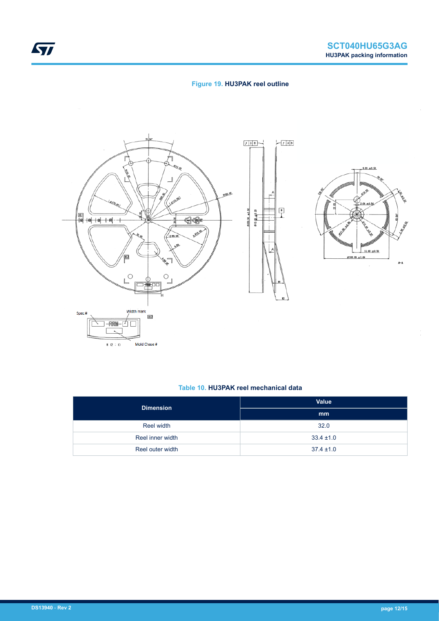### **Figure 19. HU3PAK reel outline**





#### **Table 10. HU3PAK reel mechanical data**

| <b>Dimension</b> | <b>Value</b>   |
|------------------|----------------|
|                  | mm             |
| Reel width       | 32.0           |
| Reel inner width | $33.4 \pm 1.0$ |
| Reel outer width | $37.4 \pm 1.0$ |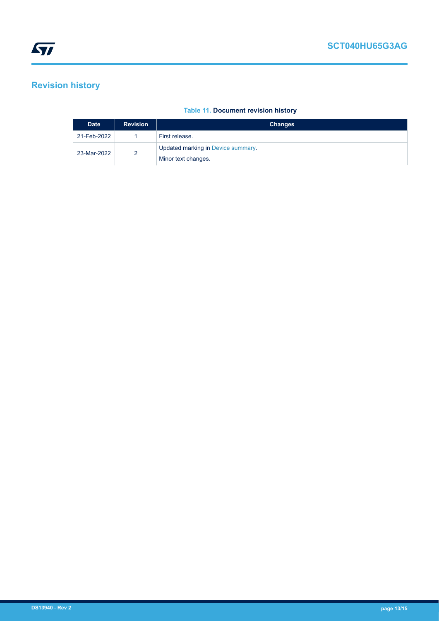# <span id="page-12-0"></span>**Revision history**

### **Table 11. Document revision history**

| <b>Date</b> | <b>Revision</b> | <b>Changes</b>                     |
|-------------|-----------------|------------------------------------|
| 21-Feb-2022 |                 | First release.                     |
| 23-Mar-2022 | 2               | Updated marking in Device summary. |
|             |                 | Minor text changes.                |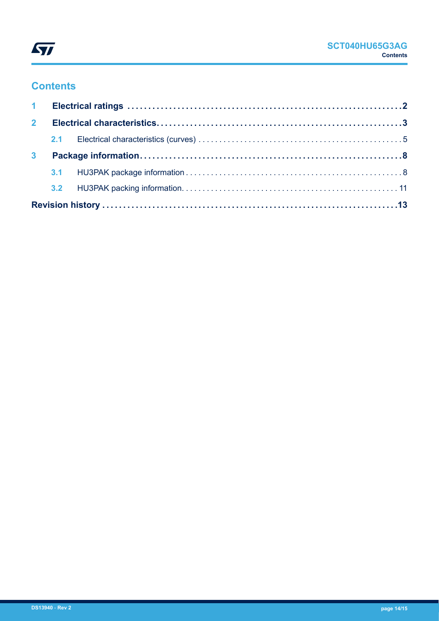

# **Contents**

| 2 <sup>1</sup> |  |  |  |  |
|----------------|--|--|--|--|
|                |  |  |  |  |
| 3 <sup>1</sup> |  |  |  |  |
|                |  |  |  |  |
|                |  |  |  |  |
|                |  |  |  |  |